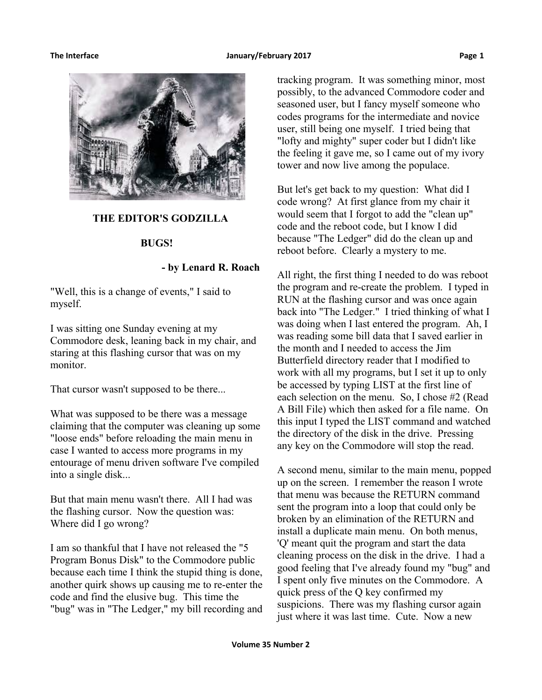

#### **THE EDITOR'S GODZILLA**

#### **BUGS!**

### **- by Lenard R. Roach**

"Well, this is a change of events," I said to myself.

I was sitting one Sunday evening at my Commodore desk, leaning back in my chair, and staring at this flashing cursor that was on my monitor.

That cursor wasn't supposed to be there...

What was supposed to be there was a message claiming that the computer was cleaning up some "loose ends" before reloading the main menu in case I wanted to access more programs in my entourage of menu driven software I've compiled into a single disk...

But that main menu wasn't there. All I had was the flashing cursor. Now the question was: Where did I go wrong?

I am so thankful that I have not released the "5 Program Bonus Disk" to the Commodore public because each time I think the stupid thing is done, another quirk shows up causing me to re-enter the code and find the elusive bug. This time the "bug" was in "The Ledger," my bill recording and

tracking program. It was something minor, most possibly, to the advanced Commodore coder and seasoned user, but I fancy myself someone who codes programs for the intermediate and novice user, still being one myself. I tried being that "lofty and mighty" super coder but I didn't like the feeling it gave me, so I came out of my ivory tower and now live among the populace.

But let's get back to my question: What did I code wrong? At first glance from my chair it would seem that I forgot to add the "clean up" code and the reboot code, but I know I did because "The Ledger" did do the clean up and reboot before. Clearly a mystery to me.

All right, the first thing I needed to do was reboot the program and re-create the problem. I typed in RUN at the flashing cursor and was once again back into "The Ledger." I tried thinking of what I was doing when I last entered the program. Ah, I was reading some bill data that I saved earlier in the month and I needed to access the Jim Butterfield directory reader that I modified to work with all my programs, but I set it up to only be accessed by typing LIST at the first line of each selection on the menu. So, I chose #2 (Read A Bill File) which then asked for a file name. On this input I typed the LIST command and watched the directory of the disk in the drive. Pressing any key on the Commodore will stop the read.

A second menu, similar to the main menu, popped up on the screen. I remember the reason I wrote that menu was because the RETURN command sent the program into a loop that could only be broken by an elimination of the RETURN and install a duplicate main menu. On both menus, 'Q' meant quit the program and start the data cleaning process on the disk in the drive. I had a good feeling that I've already found my "bug" and I spent only five minutes on the Commodore. A quick press of the Q key confirmed my suspicions. There was my flashing cursor again just where it was last time. Cute. Now a new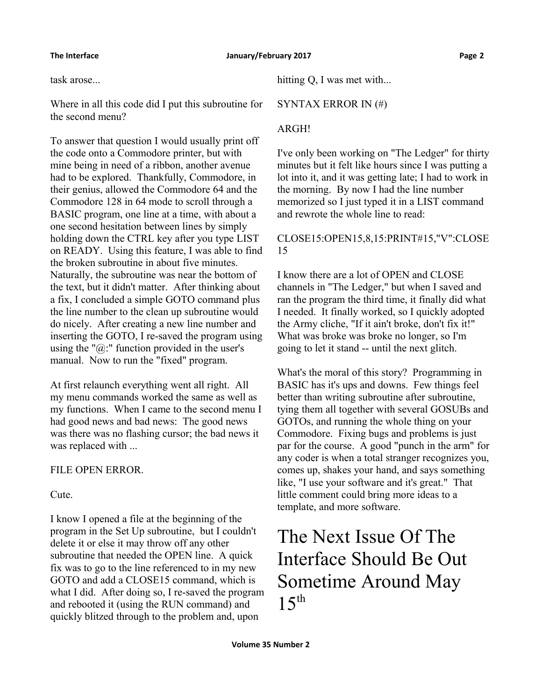task arose...

Where in all this code did I put this subroutine for the second menu?

To answer that question I would usually print off the code onto a Commodore printer, but with mine being in need of a ribbon, another avenue had to be explored. Thankfully, Commodore, in their genius, allowed the Commodore 64 and the Commodore 128 in 64 mode to scroll through a BASIC program, one line at a time, with about a one second hesitation between lines by simply holding down the CTRL key after you type LIST on READY. Using this feature, I was able to find the broken subroutine in about five minutes. Naturally, the subroutine was near the bottom of the text, but it didn't matter. After thinking about a fix, I concluded a simple GOTO command plus the line number to the clean up subroutine would do nicely. After creating a new line number and inserting the GOTO, I re-saved the program using using the " $\hat{a}$ " function provided in the user's manual. Now to run the "fixed" program.

At first relaunch everything went all right. All my menu commands worked the same as well as my functions. When I came to the second menu I had good news and bad news: The good news was there was no flashing cursor; the bad news it was replaced with ...

# FILE OPEN ERROR.

Cute.

I know I opened a file at the beginning of the program in the Set Up subroutine, but I couldn't delete it or else it may throw off any other subroutine that needed the OPEN line. A quick fix was to go to the line referenced to in my new GOTO and add a CLOSE15 command, which is what I did. After doing so, I re-saved the program and rebooted it (using the RUN command) and quickly blitzed through to the problem and, upon

hitting Q, I was met with...

SYNTAX ERROR IN (#)

# ARGH!

I've only been working on "The Ledger" for thirty minutes but it felt like hours since I was putting a lot into it, and it was getting late; I had to work in the morning. By now I had the line number memorized so I just typed it in a LIST command and rewrote the whole line to read:

# CLOSE15:OPEN15,8,15:PRINT#15,"V":CLOSE 15

I know there are a lot of OPEN and CLOSE channels in "The Ledger," but when I saved and ran the program the third time, it finally did what I needed. It finally worked, so I quickly adopted the Army cliche, "If it ain't broke, don't fix it!" What was broke was broke no longer, so I'm going to let it stand -- until the next glitch.

What's the moral of this story? Programming in BASIC has it's ups and downs. Few things feel better than writing subroutine after subroutine, tying them all together with several GOSUBs and GOTOs, and running the whole thing on your Commodore. Fixing bugs and problems is just par for the course. A good "punch in the arm" for any coder is when a total stranger recognizes you, comes up, shakes your hand, and says something like, "I use your software and it's great." That little comment could bring more ideas to a template, and more software.

# The Next Issue Of The Interface Should Be Out Sometime Around May  $15<sup>th</sup>$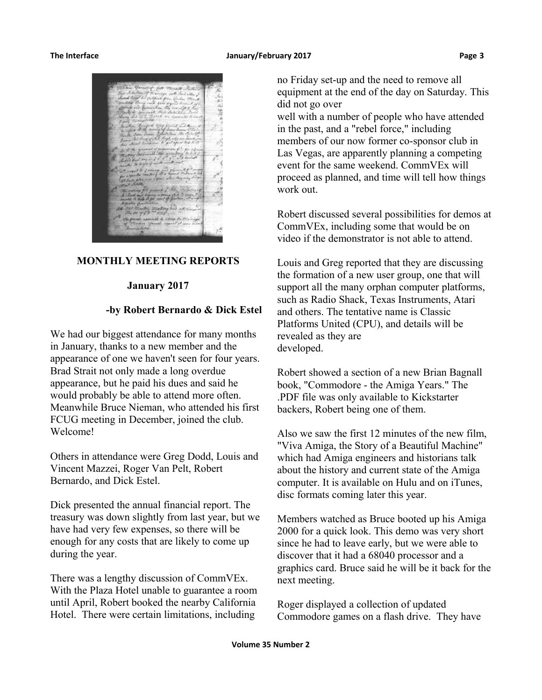#### **The Interface January/February 2017 Page 3**



### **MONTHLY MEETING REPORTS**

#### **January 2017**

#### **-by Robert Bernardo & Dick Estel**

We had our biggest attendance for many months in January, thanks to a new member and the appearance of one we haven't seen for four years. Brad Strait not only made a long overdue appearance, but he paid his dues and said he would probably be able to attend more often. Meanwhile Bruce Nieman, who attended his first FCUG meeting in December, joined the club. Welcome!

Others in attendance were Greg Dodd, Louis and Vincent Mazzei, Roger Van Pelt, Robert Bernardo, and Dick Estel.

Dick presented the annual financial report. The treasury was down slightly from last year, but we have had very few expenses, so there will be enough for any costs that are likely to come up during the year.

There was a lengthy discussion of CommVEx. With the Plaza Hotel unable to guarantee a room until April, Robert booked the nearby California Hotel. There were certain limitations, including

no Friday set-up and the need to remove all equipment at the end of the day on Saturday. This did not go over

well with a number of people who have attended in the past, and a "rebel force," including members of our now former co-sponsor club in Las Vegas, are apparently planning a competing event for the same weekend. CommVEx will proceed as planned, and time will tell how things work out.

Robert discussed several possibilities for demos at CommVEx, including some that would be on video if the demonstrator is not able to attend.

Louis and Greg reported that they are discussing the formation of a new user group, one that will support all the many orphan computer platforms, such as Radio Shack, Texas Instruments, Atari and others. The tentative name is Classic Platforms United (CPU), and details will be revealed as they are developed.

Robert showed a section of a new Brian Bagnall book, "Commodore - the Amiga Years." The .PDF file was only available to Kickstarter backers, Robert being one of them.

Also we saw the first 12 minutes of the new film, "Viva Amiga, the Story of a Beautiful Machine" which had Amiga engineers and historians talk about the history and current state of the Amiga computer. It is available on Hulu and on iTunes, disc formats coming later this year.

Members watched as Bruce booted up his Amiga 2000 for a quick look. This demo was very short since he had to leave early, but we were able to discover that it had a 68040 processor and a graphics card. Bruce said he will be it back for the next meeting.

Roger displayed a collection of updated Commodore games on a flash drive. They have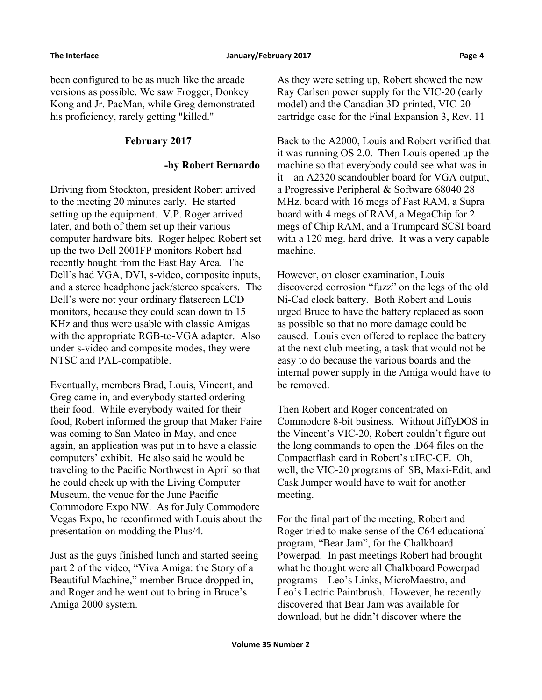been configured to be as much like the arcade versions as possible. We saw Frogger, Donkey Kong and Jr. PacMan, while Greg demonstrated his proficiency, rarely getting "killed."

# **February 2017**

# **-by Robert Bernardo**

Driving from Stockton, president Robert arrived to the meeting 20 minutes early. He started setting up the equipment. V.P. Roger arrived later, and both of them set up their various computer hardware bits. Roger helped Robert set up the two Dell 2001FP monitors Robert had recently bought from the East Bay Area. The Dell's had VGA, DVI, s-video, composite inputs, and a stereo headphone jack/stereo speakers. The Dell's were not your ordinary flatscreen LCD monitors, because they could scan down to 15 KHz and thus were usable with classic Amigas with the appropriate RGB-to-VGA adapter. Also under s-video and composite modes, they were NTSC and PAL-compatible.

Eventually, members Brad, Louis, Vincent, and Greg came in, and everybody started ordering their food. While everybody waited for their food, Robert informed the group that Maker Faire was coming to San Mateo in May, and once again, an application was put in to have a classic computers' exhibit. He also said he would be traveling to the Pacific Northwest in April so that he could check up with the Living Computer Museum, the venue for the June Pacific Commodore Expo NW. As for July Commodore Vegas Expo, he reconfirmed with Louis about the presentation on modding the Plus/4.

Just as the guys finished lunch and started seeing part 2 of the video, "Viva Amiga: the Story of a Beautiful Machine," member Bruce dropped in, and Roger and he went out to bring in Bruce's Amiga 2000 system.

As they were setting up, Robert showed the new Ray Carlsen power supply for the VIC-20 (early model) and the Canadian 3D-printed, VIC-20 cartridge case for the Final Expansion 3, Rev. 11

Back to the A2000, Louis and Robert verified that it was running OS 2.0. Then Louis opened up the machine so that everybody could see what was in it – an A2320 scandoubler board for VGA output, a Progressive Peripheral & Software 68040 28 MHz. board with 16 megs of Fast RAM, a Supra board with 4 megs of RAM, a MegaChip for 2 megs of Chip RAM, and a Trumpcard SCSI board with a 120 meg. hard drive. It was a very capable machine.

However, on closer examination, Louis discovered corrosion "fuzz" on the legs of the old Ni-Cad clock battery. Both Robert and Louis urged Bruce to have the battery replaced as soon as possible so that no more damage could be caused. Louis even offered to replace the battery at the next club meeting, a task that would not be easy to do because the various boards and the internal power supply in the Amiga would have to be removed.

Then Robert and Roger concentrated on Commodore 8-bit business. Without JiffyDOS in the Vincent's VIC-20, Robert couldn't figure out the long commands to open the .D64 files on the Compactflash card in Robert's uIEC-CF. Oh, well, the VIC-20 programs of \$B, Maxi-Edit, and Cask Jumper would have to wait for another meeting.

For the final part of the meeting, Robert and Roger tried to make sense of the C64 educational program, "Bear Jam", for the Chalkboard Powerpad. In past meetings Robert had brought what he thought were all Chalkboard Powerpad programs – Leo's Links, MicroMaestro, and Leo's Lectric Paintbrush. However, he recently discovered that Bear Jam was available for download, but he didn't discover where the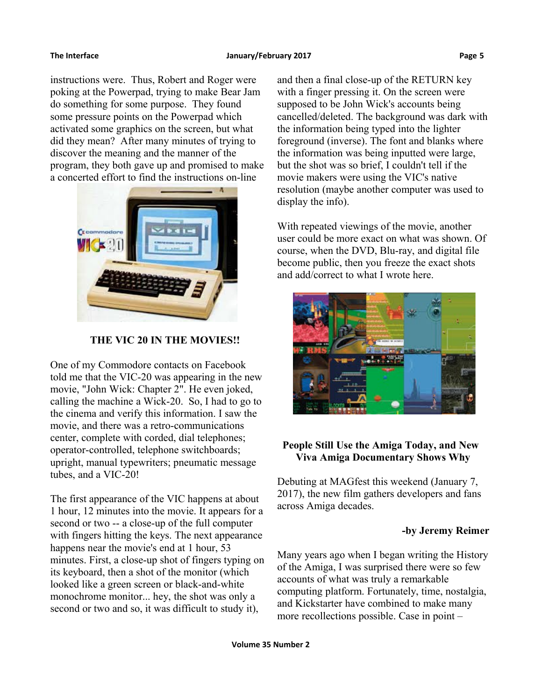instructions were. Thus, Robert and Roger were poking at the Powerpad, trying to make Bear Jam do something for some purpose. They found some pressure points on the Powerpad which activated some graphics on the screen, but what did they mean? After many minutes of trying to discover the meaning and the manner of the program, they both gave up and promised to make a concerted effort to find the instructions on-line



 **THE VIC 20 IN THE MOVIES!!**

One of my Commodore contacts on Facebook told me that the VIC-20 was appearing in the new movie, "John Wick: Chapter 2". He even joked, calling the machine a Wick-20. So, I had to go to the cinema and verify this information. I saw the movie, and there was a retro-communications center, complete with corded, dial telephones; operator-controlled, telephone switchboards; upright, manual typewriters; pneumatic message tubes, and a VIC-20!

The first appearance of the VIC happens at about 1 hour, 12 minutes into the movie. It appears for a second or two -- a close-up of the full computer with fingers hitting the keys. The next appearance happens near the movie's end at 1 hour, 53 minutes. First, a close-up shot of fingers typing on its keyboard, then a shot of the monitor (which looked like a green screen or black-and-white monochrome monitor... hey, the shot was only a second or two and so, it was difficult to study it),

and then a final close-up of the RETURN key with a finger pressing it. On the screen were supposed to be John Wick's accounts being cancelled/deleted. The background was dark with the information being typed into the lighter foreground (inverse). The font and blanks where the information was being inputted were large, but the shot was so brief, I couldn't tell if the movie makers were using the VIC's native resolution (maybe another computer was used to display the info).

With repeated viewings of the movie, another user could be more exact on what was shown. Of course, when the DVD, Blu-ray, and digital file become public, then you freeze the exact shots and add/correct to what I wrote here.



# **People Still Use the Amiga Today, and New Viva Amiga Documentary Shows Why**

Debuting at MAGfest this weekend (January 7, 2017), the new film gathers developers and fans across Amiga decades.

# **-by Jeremy Reimer**

Many years ago when I began writing the History of the Amiga, I was surprised there were so few accounts of what was truly a remarkable computing platform. Fortunately, time, nostalgia, and Kickstarter have combined to make many more recollections possible. Case in point –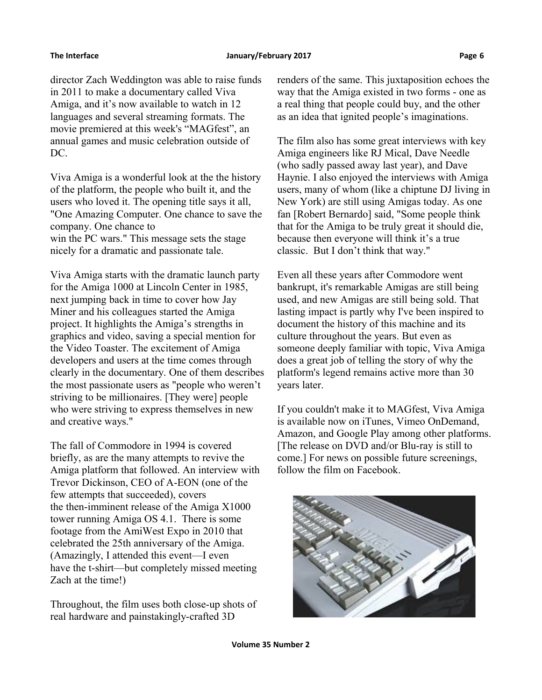#### The Interface **The Interface Construction Construction** Danuary/February 2017

director Zach Weddington was able to raise funds in 2011 to make a documentary called Viva Amiga, and it's now available to watch in 12 languages and several streaming formats. The movie premiered at this week's "MAGfest", an annual games and music celebration outside of DC.

Viva Amiga is a wonderful look at the the history of the platform, the people who built it, and the users who loved it. The opening title says it all, "One Amazing Computer. One chance to save the company. One chance to win the PC wars." This message sets the stage nicely for a dramatic and passionate tale.

Viva Amiga starts with the dramatic launch party for the Amiga 1000 at Lincoln Center in 1985, next jumping back in time to cover how Jay Miner and his colleagues started the Amiga project. It highlights the Amiga's strengths in graphics and video, saving a special mention for the Video Toaster. The excitement of Amiga developers and users at the time comes through clearly in the documentary. One of them describes the most passionate users as "people who weren't striving to be millionaires. [They were] people who were striving to express themselves in new and creative ways."

The fall of Commodore in 1994 is covered briefly, as are the many attempts to revive the Amiga platform that followed. An interview with Trevor Dickinson, CEO of A-EON (one of the few attempts that succeeded), covers the then-imminent release of the Amiga X1000 tower running Amiga OS 4.1. There is some footage from the AmiWest Expo in 2010 that celebrated the 25th anniversary of the Amiga. (Amazingly, I attended this event—I even have the t-shirt—but completely missed meeting Zach at the time!)

Throughout, the film uses both close-up shots of real hardware and painstakingly-crafted 3D

renders of the same. This juxtaposition echoes the way that the Amiga existed in two forms - one as a real thing that people could buy, and the other as an idea that ignited people's imaginations.

The film also has some great interviews with key Amiga engineers like RJ Mical, Dave Needle (who sadly passed away last year), and Dave Haynie. I also enjoyed the interviews with Amiga users, many of whom (like a chiptune DJ living in New York) are still using Amigas today. As one fan [Robert Bernardo] said, "Some people think that for the Amiga to be truly great it should die, because then everyone will think it's a true classic. But I don't think that way."

Even all these years after Commodore went bankrupt, it's remarkable Amigas are still being used, and new Amigas are still being sold. That lasting impact is partly why I've been inspired to document the history of this machine and its culture throughout the years. But even as someone deeply familiar with topic, Viva Amiga does a great job of telling the story of why the platform's legend remains active more than 30 years later.

If you couldn't make it to MAGfest, Viva Amiga is available now on iTunes, Vimeo OnDemand, Amazon, and Google Play among other platforms. [The release on DVD and/or Blu-ray is still to come.] For news on possible future screenings, follow the film on Facebook.

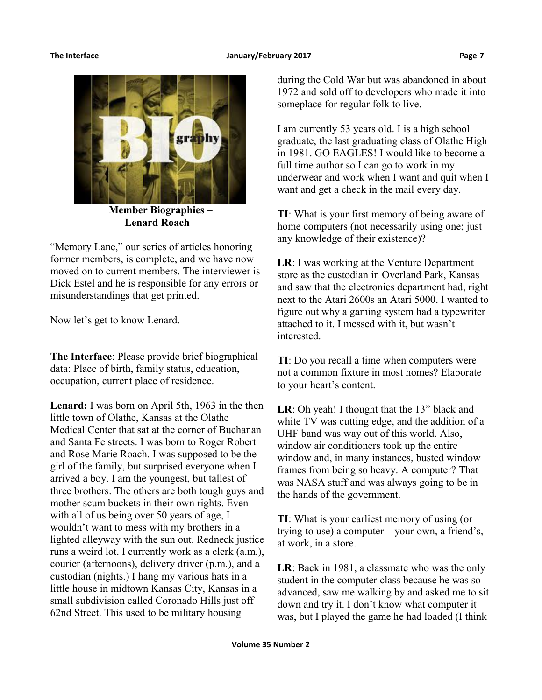

 **Member Biographies – Lenard Roach**

"Memory Lane," our series of articles honoring former members, is complete, and we have now moved on to current members. The interviewer is Dick Estel and he is responsible for any errors or misunderstandings that get printed.

Now let's get to know Lenard.

**The Interface**: Please provide brief biographical data: Place of birth, family status, education, occupation, current place of residence.

**Lenard:** I was born on April 5th, 1963 in the then little town of Olathe, Kansas at the Olathe Medical Center that sat at the corner of Buchanan and Santa Fe streets. I was born to Roger Robert and Rose Marie Roach. I was supposed to be the girl of the family, but surprised everyone when I arrived a boy. I am the youngest, but tallest of three brothers. The others are both tough guys and mother scum buckets in their own rights. Even with all of us being over 50 years of age, I wouldn't want to mess with my brothers in a lighted alleyway with the sun out. Redneck justice runs a weird lot. I currently work as a clerk (a.m.), courier (afternoons), delivery driver (p.m.), and a custodian (nights.) I hang my various hats in a little house in midtown Kansas City, Kansas in a small subdivision called Coronado Hills just off 62nd Street. This used to be military housing

during the Cold War but was abandoned in about 1972 and sold off to developers who made it into someplace for regular folk to live.

I am currently 53 years old. I is a high school graduate, the last graduating class of Olathe High in 1981. GO EAGLES! I would like to become a full time author so I can go to work in my underwear and work when I want and quit when I want and get a check in the mail every day.

**TI**: What is your first memory of being aware of home computers (not necessarily using one; just any knowledge of their existence)?

**LR**: I was working at the Venture Department store as the custodian in Overland Park, Kansas and saw that the electronics department had, right next to the Atari 2600s an Atari 5000. I wanted to figure out why a gaming system had a typewriter attached to it. I messed with it, but wasn't interested.

**TI**: Do you recall a time when computers were not a common fixture in most homes? Elaborate to your heart's content.

**LR**: Oh yeah! I thought that the 13" black and white TV was cutting edge, and the addition of a UHF band was way out of this world. Also, window air conditioners took up the entire window and, in many instances, busted window frames from being so heavy. A computer? That was NASA stuff and was always going to be in the hands of the government.

**TI**: What is your earliest memory of using (or trying to use) a computer – your own, a friend's, at work, in a store.

**LR**: Back in 1981, a classmate who was the only student in the computer class because he was so advanced, saw me walking by and asked me to sit down and try it. I don't know what computer it was, but I played the game he had loaded (I think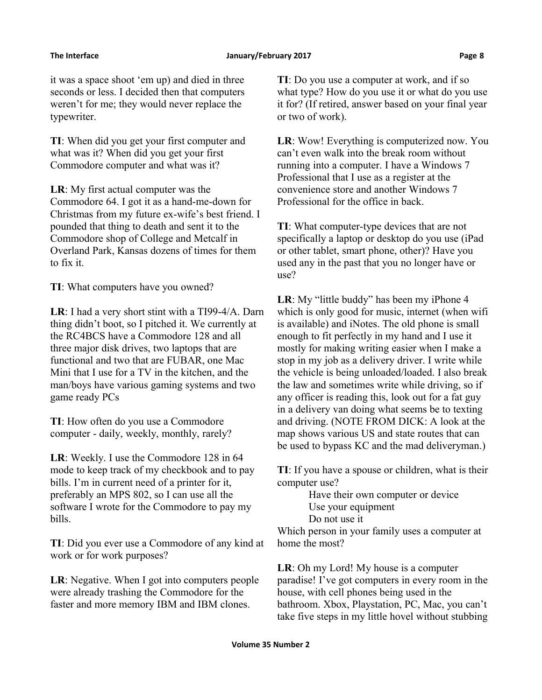it was a space shoot 'em up) and died in three seconds or less. I decided then that computers weren't for me; they would never replace the typewriter.

**TI**: When did you get your first computer and what was it? When did you get your first Commodore computer and what was it?

**LR**: My first actual computer was the Commodore 64. I got it as a hand-me-down for Christmas from my future ex-wife's best friend. I pounded that thing to death and sent it to the Commodore shop of College and Metcalf in Overland Park, Kansas dozens of times for them to fix it.

**TI**: What computers have you owned?

**LR**: I had a very short stint with a TI99-4/A. Darn thing didn't boot, so I pitched it. We currently at the RC4BCS have a Commodore 128 and all three major disk drives, two laptops that are functional and two that are FUBAR, one Mac Mini that I use for a TV in the kitchen, and the man/boys have various gaming systems and two game ready PCs

**TI**: How often do you use a Commodore computer - daily, weekly, monthly, rarely?

**LR**: Weekly. I use the Commodore 128 in 64 mode to keep track of my checkbook and to pay bills. I'm in current need of a printer for it, preferably an MPS 802, so I can use all the software I wrote for the Commodore to pay my bills.

**TI**: Did you ever use a Commodore of any kind at work or for work purposes?

**LR**: Negative. When I got into computers people were already trashing the Commodore for the faster and more memory IBM and IBM clones.

**TI**: Do you use a computer at work, and if so what type? How do you use it or what do you use it for? (If retired, answer based on your final year or two of work).

**LR**: Wow! Everything is computerized now. You can't even walk into the break room without running into a computer. I have a Windows 7 Professional that I use as a register at the convenience store and another Windows 7 Professional for the office in back.

**TI**: What computer-type devices that are not specifically a laptop or desktop do you use (iPad or other tablet, smart phone, other)? Have you used any in the past that you no longer have or use?

**LR**: My "little buddy" has been my iPhone 4 which is only good for music, internet (when wifi is available) and iNotes. The old phone is small enough to fit perfectly in my hand and I use it mostly for making writing easier when I make a stop in my job as a delivery driver. I write while the vehicle is being unloaded/loaded. I also break the law and sometimes write while driving, so if any officer is reading this, look out for a fat guy in a delivery van doing what seems be to texting and driving. (NOTE FROM DICK: A look at the map shows various US and state routes that can be used to bypass KC and the mad deliveryman.)

**TI**: If you have a spouse or children, what is their computer use?

Have their own computer or device Use your equipment Do not use it

Which person in your family uses a computer at home the most?

**LR**: Oh my Lord! My house is a computer paradise! I've got computers in every room in the house, with cell phones being used in the bathroom. Xbox, Playstation, PC, Mac, you can't take five steps in my little hovel without stubbing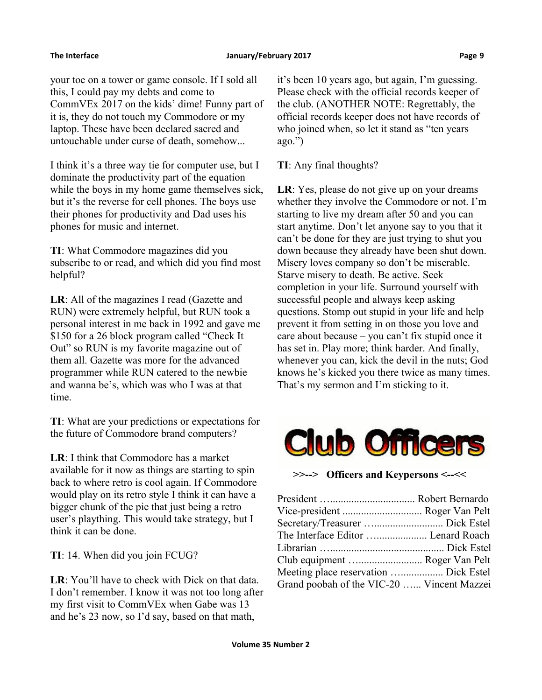your toe on a tower or game console. If I sold all this, I could pay my debts and come to CommVEx 2017 on the kids' dime! Funny part of it is, they do not touch my Commodore or my laptop. These have been declared sacred and untouchable under curse of death, somehow...

I think it's a three way tie for computer use, but I dominate the productivity part of the equation while the boys in my home game themselves sick, but it's the reverse for cell phones. The boys use their phones for productivity and Dad uses his phones for music and internet.

**TI**: What Commodore magazines did you subscribe to or read, and which did you find most helpful?

**LR**: All of the magazines I read (Gazette and RUN) were extremely helpful, but RUN took a personal interest in me back in 1992 and gave me \$150 for a 26 block program called "Check It Out" so RUN is my favorite magazine out of them all. Gazette was more for the advanced programmer while RUN catered to the newbie and wanna be's, which was who I was at that time.

**TI**: What are your predictions or expectations for the future of Commodore brand computers?

**LR**: I think that Commodore has a market available for it now as things are starting to spin back to where retro is cool again. If Commodore would play on its retro style I think it can have a bigger chunk of the pie that just being a retro user's plaything. This would take strategy, but I think it can be done.

**TI**: 14. When did you join FCUG?

**LR**: You'll have to check with Dick on that data. I don't remember. I know it was not too long after my first visit to CommVEx when Gabe was 13 and he's 23 now, so I'd say, based on that math,

it's been 10 years ago, but again, I'm guessing. Please check with the official records keeper of the club. (ANOTHER NOTE: Regrettably, the official records keeper does not have records of who joined when, so let it stand as "ten years ago.")

**TI**: Any final thoughts?

**LR**: Yes, please do not give up on your dreams whether they involve the Commodore or not. I'm starting to live my dream after 50 and you can start anytime. Don't let anyone say to you that it can't be done for they are just trying to shut you down because they already have been shut down. Misery loves company so don't be miserable. Starve misery to death. Be active. Seek completion in your life. Surround yourself with successful people and always keep asking questions. Stomp out stupid in your life and help prevent it from setting in on those you love and care about because – you can't fix stupid once it has set in. Play more; think harder. And finally, whenever you can, kick the devil in the nuts; God knows he's kicked you there twice as many times. That's my sermon and I'm sticking to it.



**>>--> Officers and Keypersons <--<<**

| Vice-president  Roger Van Pelt             |
|--------------------------------------------|
|                                            |
| The Interface Editor  Lenard Roach         |
|                                            |
| Club equipment  Roger Van Pelt             |
| Meeting place reservation  Dick Estel      |
| Grand poobah of the VIC-20  Vincent Mazzei |
|                                            |